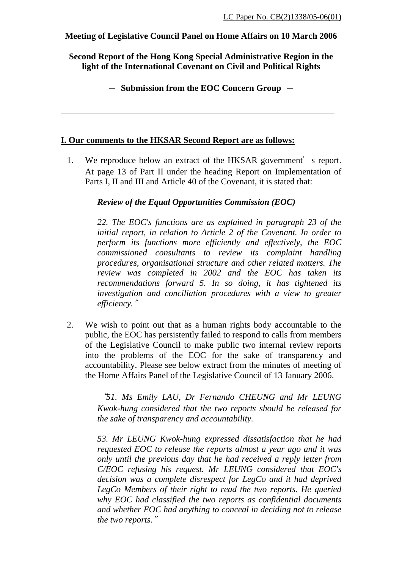### **Meeting of Legislative Council Panel on Home Affairs on 10 March 2006**

**Second Report of the Hong Kong Special Administrative Region in the light of the International Covenant on Civil and Political Rights** 

- **Submission from the EOC Concern Group** -

### **I. Our comments to the HKSAR Second Report are as follows:**

1. We reproduce below an extract of the HKSAR government's report. At page 13 of Part II under the heading Report on Implementation of Parts I, II and III and Article 40 of the Covenant, it is stated that:

## *Review of the Equal Opportunities Commission (EOC)*

*22. The EOC's functions are as explained in paragraph 23 of the initial report, in relation to Article 2 of the Covenant. In order to perform its functions more efficiently and effectively, the EOC commissioned consultants to review its complaint handling procedures, organisational structure and other related matters. The review was completed in 2002 and the EOC has taken its recommendations forward 5. In so doing, it has tightened its investigation and conciliation procedures with a view to greater efficiency.*"

2. We wish to point out that as a human rights body accountable to the public, the EOC has persistently failed to respond to calls from members of the Legislative Council to make public two internal review reports into the problems of the EOC for the sake of transparency and accountability. Please see below extract from the minutes of meeting of the Home Affairs Panel of the Legislative Council of 13 January 2006.

> "*51. Ms Emily LAU, Dr Fernando CHEUNG and Mr LEUNG Kwok-hung considered that the two reports should be released for the sake of transparency and accountability.*

> *53. Mr LEUNG Kwok-hung expressed dissatisfaction that he had requested EOC to release the reports almost a year ago and it was only until the previous day that he had received a reply letter from C/EOC refusing his request. Mr LEUNG considered that EOC's decision was a complete disrespect for LegCo and it had deprived LegCo Members of their right to read the two reports. He queried why EOC had classified the two reports as confidential documents and whether EOC had anything to conceal in deciding not to release the two reports.*"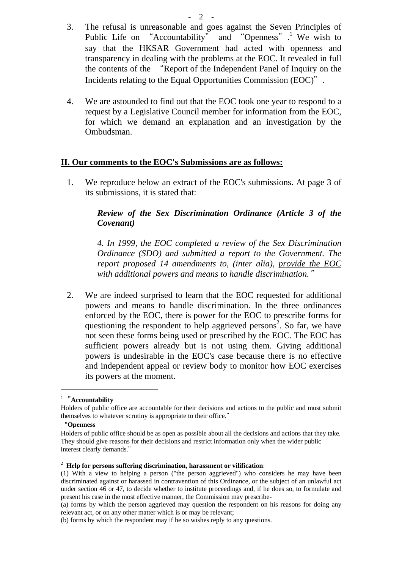- 3. The refusal is unreasonable and goes against the Seven Principles of Public Life on "Accountability" and "Openness".<sup>1</sup> We wish to say that the HKSAR Government had acted with openness and transparency in dealing with the problems at the EOC. It revealed in full the contents of the "Report of the Independent Panel of Inquiry on the Incidents relating to the Equal Opportunities Commission (EOC)".
- 4. We are astounded to find out that the EOC took one year to respond to a request by a Legislative Council member for information from the EOC, for which we demand an explanation and an investigation by the Ombudsman.

### **II. Our comments to the EOC's Submissions are as follows:**

1. We reproduce below an extract of the EOC's submissions. At page 3 of its submissions, it is stated that:

# *Review of the Sex Discrimination Ordinance (Article 3 of the Covenant)*

*4. In 1999, the EOC completed a review of the Sex Discrimination Ordinance (SDO) and submitted a report to the Government. The report proposed 14 amendments to, (inter alia), provide the EOC with additional powers and means to handle discrimination.*"

2. We are indeed surprised to learn that the EOC requested for additional powers and means to handle discrimination. In the three ordinances enforced by the EOC, there is power for the EOC to prescribe forms for questioning the respondent to help aggrieved persons<sup>2</sup>. So far, we have not seen these forms being used or prescribed by the EOC. The EOC has sufficient powers already but is not using them. Giving additional powers is undesirable in the EOC's case because there is no effective and independent appeal or review body to monitor how EOC exercises its powers at the moment.

<sup>1</sup> "**Accountability** 

Holders of public office are accountable for their decisions and actions to the public and must submit themselves to whatever scrutiny is appropriate to their office."

<sup>&</sup>quot;**Openness** 

Holders of public office should be as open as possible about all the decisions and actions that they take. They should give reasons for their decisions and restrict information only when the wider public interest clearly demands."

<sup>2</sup> **Help for persons suffering discrimination, harassment or vilification**:

<sup>(1)</sup> With a view to helping a person ("the person aggrieved") who considers he may have been discriminated against or harassed in contravention of this Ordinance, or the subject of an unlawful act under section 46 or 47, to decide whether to institute proceedings and, if he does so, to formulate and present his case in the most effective manner, the Commission may prescribe-

<sup>(</sup>a) forms by which the person aggrieved may question the respondent on his reasons for doing any relevant act, or on any other matter which is or may be relevant;

<sup>(</sup>b) forms by which the respondent may if he so wishes reply to any questions.